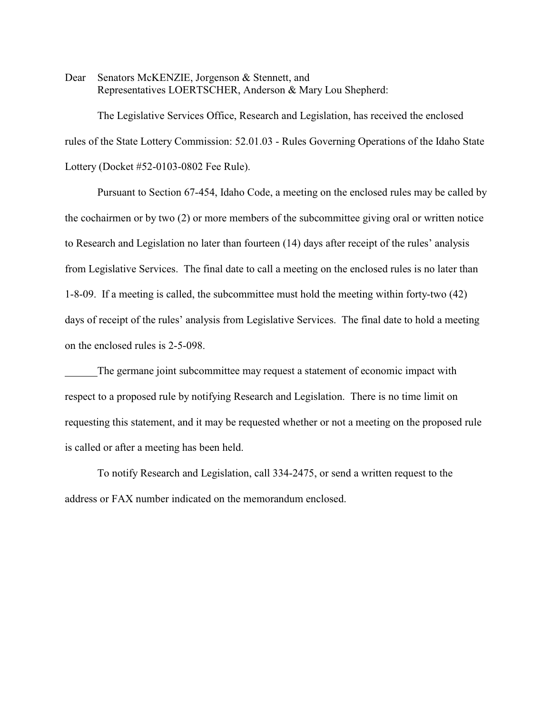Dear Senators McKENZIE, Jorgenson & Stennett, and Representatives LOERTSCHER, Anderson & Mary Lou Shepherd:

The Legislative Services Office, Research and Legislation, has received the enclosed rules of the State Lottery Commission: 52.01.03 - Rules Governing Operations of the Idaho State Lottery (Docket #52-0103-0802 Fee Rule).

Pursuant to Section 67-454, Idaho Code, a meeting on the enclosed rules may be called by the cochairmen or by two (2) or more members of the subcommittee giving oral or written notice to Research and Legislation no later than fourteen (14) days after receipt of the rules' analysis from Legislative Services. The final date to call a meeting on the enclosed rules is no later than 1-8-09. If a meeting is called, the subcommittee must hold the meeting within forty-two (42) days of receipt of the rules' analysis from Legislative Services. The final date to hold a meeting on the enclosed rules is 2-5-098.

The germane joint subcommittee may request a statement of economic impact with respect to a proposed rule by notifying Research and Legislation. There is no time limit on requesting this statement, and it may be requested whether or not a meeting on the proposed rule is called or after a meeting has been held.

To notify Research and Legislation, call 334-2475, or send a written request to the address or FAX number indicated on the memorandum enclosed.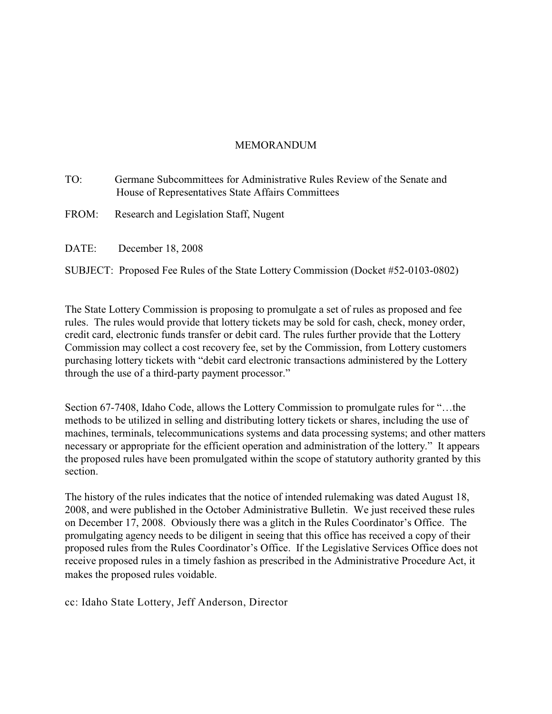## MEMORANDUM

- TO: Germane Subcommittees for Administrative Rules Review of the Senate and House of Representatives State Affairs Committees
- FROM: Research and Legislation Staff, Nugent
- DATE: December 18, 2008

SUBJECT: Proposed Fee Rules of the State Lottery Commission (Docket #52-0103-0802)

The State Lottery Commission is proposing to promulgate a set of rules as proposed and fee rules. The rules would provide that lottery tickets may be sold for cash, check, money order, credit card, electronic funds transfer or debit card. The rules further provide that the Lottery Commission may collect a cost recovery fee, set by the Commission, from Lottery customers purchasing lottery tickets with "debit card electronic transactions administered by the Lottery through the use of a third-party payment processor."

Section 67-7408, Idaho Code, allows the Lottery Commission to promulgate rules for "…the methods to be utilized in selling and distributing lottery tickets or shares, including the use of machines, terminals, telecommunications systems and data processing systems; and other matters necessary or appropriate for the efficient operation and administration of the lottery." It appears the proposed rules have been promulgated within the scope of statutory authority granted by this section.

The history of the rules indicates that the notice of intended rulemaking was dated August 18, 2008, and were published in the October Administrative Bulletin. We just received these rules on December 17, 2008. Obviously there was a glitch in the Rules Coordinator's Office. The promulgating agency needs to be diligent in seeing that this office has received a copy of their proposed rules from the Rules Coordinator's Office. If the Legislative Services Office does not receive proposed rules in a timely fashion as prescribed in the Administrative Procedure Act, it makes the proposed rules voidable.

cc: Idaho State Lottery, Jeff Anderson, Director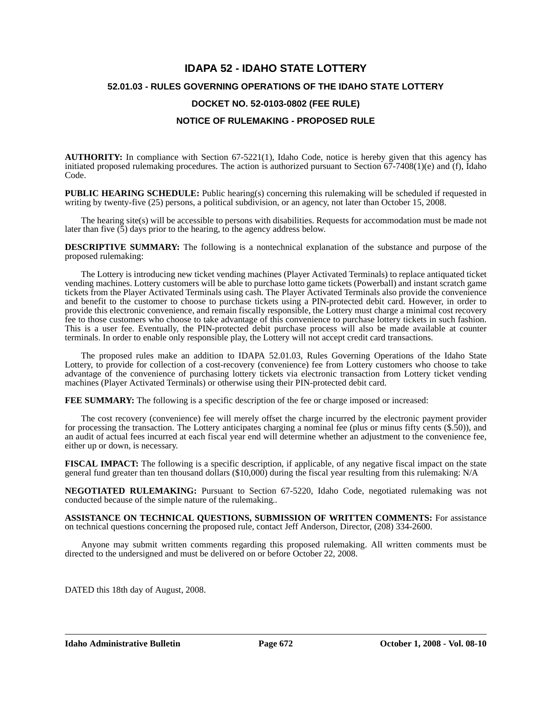# **IDAPA 52 - IDAHO STATE LOTTERY 52.01.03 - RULES GOVERNING OPERATIONS OF THE IDAHO STATE LOTTERY DOCKET NO. 52-0103-0802 (FEE RULE) NOTICE OF RULEMAKING - PROPOSED RULE**

**AUTHORITY:** In compliance with Section 67-5221(1), Idaho Code, notice is hereby given that this agency has initiated proposed rulemaking procedures. The action is authorized pursuant to Section  $67-7408(1)(e)$  and (f), Idaho Code.

**PUBLIC HEARING SCHEDULE:** Public hearing(s) concerning this rulemaking will be scheduled if requested in writing by twenty-five (25) persons, a political subdivision, or an agency, not later than October 15, 2008.

The hearing site(s) will be accessible to persons with disabilities. Requests for accommodation must be made not later than five (5) days prior to the hearing, to the agency address below.

**DESCRIPTIVE SUMMARY:** The following is a nontechnical explanation of the substance and purpose of the proposed rulemaking:

The Lottery is introducing new ticket vending machines (Player Activated Terminals) to replace antiquated ticket vending machines. Lottery customers will be able to purchase lotto game tickets (Powerball) and instant scratch game tickets from the Player Activated Terminals using cash. The Player Activated Terminals also provide the convenience and benefit to the customer to choose to purchase tickets using a PIN-protected debit card. However, in order to provide this electronic convenience, and remain fiscally responsible, the Lottery must charge a minimal cost recovery fee to those customers who choose to take advantage of this convenience to purchase lottery tickets in such fashion. This is a user fee. Eventually, the PIN-protected debit purchase process will also be made available at counter terminals. In order to enable only responsible play, the Lottery will not accept credit card transactions.

The proposed rules make an addition to IDAPA 52.01.03, Rules Governing Operations of the Idaho State Lottery, to provide for collection of a cost-recovery (convenience) fee from Lottery customers who choose to take advantage of the convenience of purchasing lottery tickets via electronic transaction from Lottery ticket vending machines (Player Activated Terminals) or otherwise using their PIN-protected debit card.

**FEE SUMMARY:** The following is a specific description of the fee or charge imposed or increased:

The cost recovery (convenience) fee will merely offset the charge incurred by the electronic payment provider for processing the transaction. The Lottery anticipates charging a nominal fee (plus or minus fifty cents (\$.50)), and an audit of actual fees incurred at each fiscal year end will determine whether an adjustment to the convenience fee, either up or down, is necessary.

**FISCAL IMPACT:** The following is a specific description, if applicable, of any negative fiscal impact on the state general fund greater than ten thousand dollars (\$10,000) during the fiscal year resulting from this rulemaking: N/A

**NEGOTIATED RULEMAKING:** Pursuant to Section 67-5220, Idaho Code, negotiated rulemaking was not conducted because of the simple nature of the rulemaking*..*

**ASSISTANCE ON TECHNICAL QUESTIONS, SUBMISSION OF WRITTEN COMMENTS:** For assistance on technical questions concerning the proposed rule, contact Jeff Anderson, Director, (208) 334-2600.

Anyone may submit written comments regarding this proposed rulemaking. All written comments must be directed to the undersigned and must be delivered on or before October 22, 2008.

DATED this 18th day of August, 2008.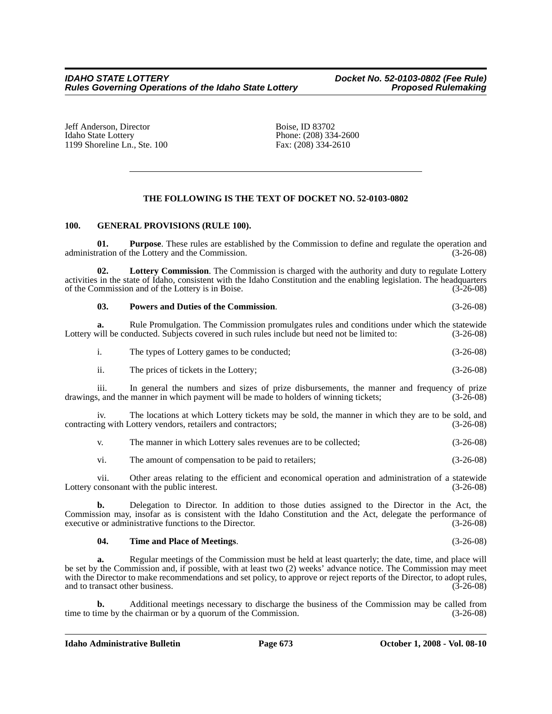Jeff Anderson, Director Boise, ID 83702<br>Idaho State Lottery Phone: (208) 334 1199 Shoreline Ln., Ste.  $100$ 

Phone: (208) 334-2600<br>Fax: (208) 334-2610

## **THE FOLLOWING IS THE TEXT OF DOCKET NO. 52-0103-0802**

#### **100. GENERAL PROVISIONS (RULE 100).**

**01. Purpose**. These rules are established by the Commission to define and regulate the operation and ration of the Lottery and the Commission. administration of the Lottery and the Commission.

**02. Lottery Commission**. The Commission is charged with the authority and duty to regulate Lottery activities in the state of Idaho, consistent with the Idaho Constitution and the enabling legislation. The headquarters of the Commission and of the Lottery is in Boise. (3-26-08)

#### **03. Powers and Duties of the Commission**. (3-26-08)

**a.** Rule Promulgation. The Commission promulgates rules and conditions under which the statewide will be conducted. Subjects covered in such rules include but need not be limited to:  $(3-26-08)$ Lottery will be conducted. Subjects covered in such rules include but need not be limited to:

| The types of Lottery games to be conducted; | $(3-26-08)$ |
|---------------------------------------------|-------------|
|                                             |             |

ii. The prices of tickets in the Lottery; (3-26-08)

iii. In general the numbers and sizes of prize disbursements, the manner and frequency of prize drawings, and the manner in which payment will be made to holders of winning tickets; (3-26-08)

iv. The locations at which Lottery tickets may be sold, the manner in which they are to be sold, and contracting with Lottery vendors, retailers and contractors; (3-26-08)

| $\mathbf{V}$ | The manner in which Lottery sales revenues are to be collected; | $(3-26-08)$ |
|--------------|-----------------------------------------------------------------|-------------|
| vi.          | The amount of compensation to be paid to retailers;             | $(3-26-08)$ |

vii. Other areas relating to the efficient and economical operation and administration of a statewide Lottery consonant with the public interest. (3-26-08)

**b.** Delegation to Director. In addition to those duties assigned to the Director in the Act, the Commission may, insofar as is consistent with the Idaho Constitution and the Act, delegate the performance of executive or administrative functions to the Director. (3-26-08)

#### **04. Time and Place of Meetings**. (3-26-08)

**a.** Regular meetings of the Commission must be held at least quarterly; the date, time, and place will be set by the Commission and, if possible, with at least two (2) weeks' advance notice. The Commission may meet with the Director to make recommendations and set policy, to approve or reject reports of the Director, to adopt rules, and to transact other business. (3-26-08)

**b.** Additional meetings necessary to discharge the business of the Commission may be called from time to time by the chairman or by a quorum of the Commission. (3-26-08)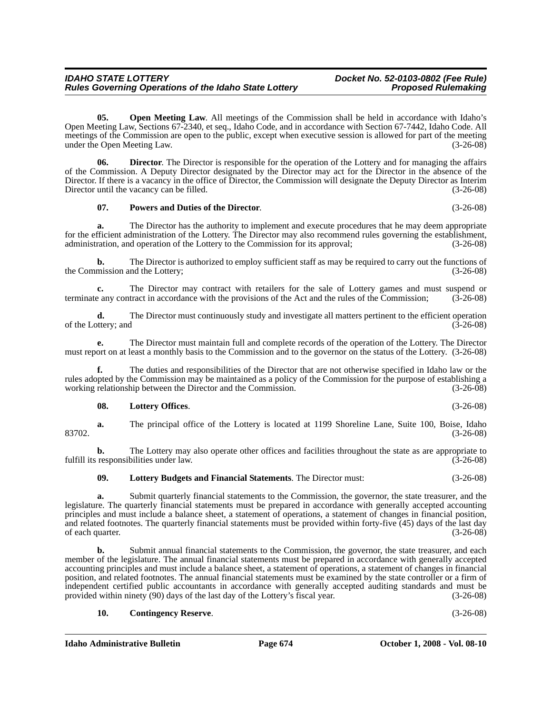*Rules Governing Operations of the Idaho State Lottery* 

**05.** Open Meeting Law. All meetings of the Commission shall be held in accordance with Idaho's Open Meeting Law, Sections 67-2340, et seq., Idaho Code, and in accordance with Section 67-7442, Idaho Code. All meetings of the Commission are open to the public, except when executive session is allowed for part of the meeting under the Open Meeting Law. (3-26-08)

**06. Director**. The Director is responsible for the operation of the Lottery and for managing the affairs of the Commission. A Deputy Director designated by the Director may act for the Director in the absence of the Director. If there is a vacancy in the office of Director, the Commission will designate the Deputy Director as Interim Director until the vacancy can be filled. (3-26-08)

#### **07. Powers and Duties of the Director**. (3-26-08)

**a.** The Director has the authority to implement and execute procedures that he may deem appropriate for the efficient administration of the Lottery. The Director may also recommend rules governing the establishment, administration, and operation of the Lottery to the Commission for its approval; (3-26-08)

**b.** The Director is authorized to employ sufficient staff as may be required to carry out the functions of the Commission and the Lottery; (3-26-08)

**c.** The Director may contract with retailers for the sale of Lottery games and must suspend or any contract in accordance with the provisions of the Act and the rules of the Commission; (3-26-08) terminate any contract in accordance with the provisions of the Act and the rules of the Commission;

**d.** The Director must continuously study and investigate all matters pertinent to the efficient operation of the Lottery; and (3-26-08)

**e.** The Director must maintain full and complete records of the operation of the Lottery. The Director must report on at least a monthly basis to the Commission and to the governor on the status of the Lottery. (3-26-08)

**f.** The duties and responsibilities of the Director that are not otherwise specified in Idaho law or the rules adopted by the Commission may be maintained as a policy of the Commission for the purpose of establishing a working relationship between the Director and the Commission. (3-26-08) working relationship between the Director and the Commission.

#### **08. Lottery Offices**. (3-26-08)

**a.** The principal office of the Lottery is located at 1199 Shoreline Lane, Suite 100, Boise, Idaho 83702. (3-26-08)

**b.** The Lottery may also operate other offices and facilities throughout the state as are appropriate to responsibilities under law.  $(3-26-08)$ fulfill its responsibilities under law.

## **09. Lottery Budgets and Financial Statements**. The Director must: (3-26-08)

**a.** Submit quarterly financial statements to the Commission, the governor, the state treasurer, and the legislature. The quarterly financial statements must be prepared in accordance with generally accepted accounting principles and must include a balance sheet, a statement of operations, a statement of changes in financial position, and related footnotes. The quarterly financial statements must be provided within forty-five (45) days of the last day of each quarter. (3-26-08)

**b.** Submit annual financial statements to the Commission, the governor, the state treasurer, and each member of the legislature. The annual financial statements must be prepared in accordance with generally accepted accounting principles and must include a balance sheet, a statement of operations, a statement of changes in financial position, and related footnotes. The annual financial statements must be examined by the state controller or a firm of independent certified public accountants in accordance with generally accepted auditing standards and must be provided within ninety (90) days of the last day of the Lottery's fiscal year. (3-26-08) provided within ninety  $(90)$  days of the last day of the Lottery's fiscal year.

### **10. Contingency Reserve**. (3-26-08)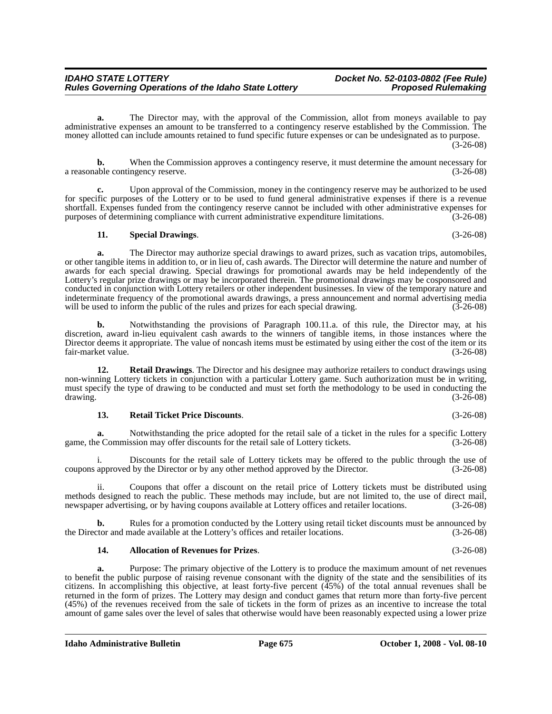**a.** The Director may, with the approval of the Commission, allot from moneys available to pay administrative expenses an amount to be transferred to a contingency reserve established by the Commission. The money allotted can include amounts retained to fund specific future expenses or can be undesignated as to purpose. (3-26-08)

**b.** When the Commission approves a contingency reserve, it must determine the amount necessary for able contingency reserve. (3-26-08) a reasonable contingency reserve.

**c.** Upon approval of the Commission, money in the contingency reserve may be authorized to be used for specific purposes of the Lottery or to be used to fund general administrative expenses if there is a revenue shortfall. Expenses funded from the contingency reserve cannot be included with other administrative expenses for<br>purposes of determining compliance with current administrative expenditure limitations. (3-26-08) purposes of determining compliance with current administrative expenditure limitations.

**11. Special Drawings**. (3-26-08)

**a.** The Director may authorize special drawings to award prizes, such as vacation trips, automobiles, or other tangible items in addition to, or in lieu of, cash awards. The Director will determine the nature and number of awards for each special drawing. Special drawings for promotional awards may be held independently of the Lottery's regular prize drawings or may be incorporated therein. The promotional drawings may be cosponsored and conducted in conjunction with Lottery retailers or other independent businesses. In view of the temporary nature and indeterminate frequency of the promotional awards drawings, a press announcement and normal advertising media will be used to inform the public of the rules and prizes for each special drawing. (3-26-08) will be used to inform the public of the rules and prizes for each special drawing.

**b.** Notwithstanding the provisions of Paragraph 100.11.a. of this rule, the Director may, at his discretion, award in-lieu equivalent cash awards to the winners of tangible items, in those instances where the Director deems it appropriate. The value of noncash items must be estimated by using either the cost of the item or its fair-market value.

**12. Retail Drawings**. The Director and his designee may authorize retailers to conduct drawings using non-winning Lottery tickets in conjunction with a particular Lottery game. Such authorization must be in writing, must specify the type of drawing to be conducted and must set forth the methodology to be used in conducting the  $d$ rawing.  $(3-26-08)$ 

#### **13. Retail Ticket Price Discounts**. (3-26-08)

**a.** Notwithstanding the price adopted for the retail sale of a ticket in the rules for a specific Lottery game, the Commission may offer discounts for the retail sale of Lottery tickets. (3-26-08)

i. Discounts for the retail sale of Lottery tickets may be offered to the public through the use of coupons approved by the Director or by any other method approved by the Director. (3-26-08)

ii. Coupons that offer a discount on the retail price of Lottery tickets must be distributed using methods designed to reach the public. These methods may include, but are not limited to, the use of direct mail, newspaper advertising, or by having coupons available at Lottery offices and retailer locations. (3-26-08)

**b.** Rules for a promotion conducted by the Lottery using retail ticket discounts must be announced by the Director and made available at the Lottery's offices and retailer locations. (3-26-08)

#### **14. Allocation of Revenues for Prizes**. (3-26-08)

**a.** Purpose: The primary objective of the Lottery is to produce the maximum amount of net revenues to benefit the public purpose of raising revenue consonant with the dignity of the state and the sensibilities of its citizens. In accomplishing this objective, at least forty-five percent  $(45%)$  of the total annual revenues shall be returned in the form of prizes. The Lottery may design and conduct games that return more than forty-five percent (45%) of the revenues received from the sale of tickets in the form of prizes as an incentive to increase the total amount of game sales over the level of sales that otherwise would have been reasonably expected using a lower prize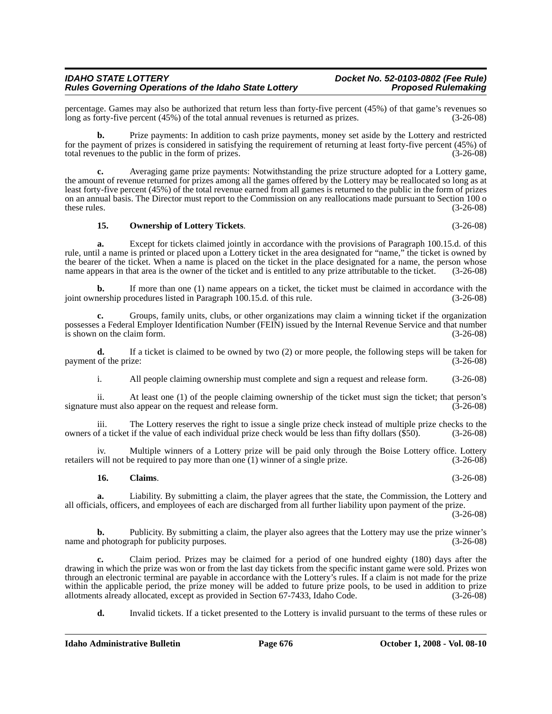percentage. Games may also be authorized that return less than forty-five percent (45%) of that game's revenues so long as forty-five percent (45%) of the total annual revenues is returned as prizes. (3-26-08)

**b.** Prize payments: In addition to cash prize payments, money set aside by the Lottery and restricted for the payment of prizes is considered in satisfying the requirement of returning at least forty-five percent (45%) of total revenues to the public in the form of prizes. (3-26-08)

**c.** Averaging game prize payments: Notwithstanding the prize structure adopted for a Lottery game, the amount of revenue returned for prizes among all the games offered by the Lottery may be reallocated so long as at least forty-five percent (45%) of the total revenue earned from all games is returned to the public in the form of prizes on an annual basis. The Director must report to the Commission on any reallocations made pursuant to Section 100 o these rules.  $(3-26-08)$ 

#### **15. Ownership of Lottery Tickets**. (3-26-08)

**a.** Except for tickets claimed jointly in accordance with the provisions of Paragraph 100.15.d. of this rule, until a name is printed or placed upon a Lottery ticket in the area designated for "name," the ticket is owned by the bearer of the ticket. When a name is placed on the ticket in the place designated for a name, the person whose name appears in that area is the owner of the ticket and is entitled to any prize attributable to the ticket. (3-26-08)

**b.** If more than one (1) name appears on a ticket, the ticket must be claimed in accordance with the nership procedures listed in Paragraph 100.15.d. of this rule. (3-26-08) joint ownership procedures listed in Paragraph  $100.15$ .d. of this rule.

**c.** Groups, family units, clubs, or other organizations may claim a winning ticket if the organization possesses a Federal Employer Identification Number (FEIN) issued by the Internal Revenue Service and that number is shown on the claim form.

**d.** If a ticket is claimed to be owned by two (2) or more people, the following steps will be taken for payment of the prize: (3-26-08)

i. All people claiming ownership must complete and sign a request and release form. (3-26-08)

ii. At least one (1) of the people claiming ownership of the ticket must sign the ticket; that person's signature must also appear on the request and release form.

iii. The Lottery reserves the right to issue a single prize check instead of multiple prize checks to the of a ticket if the value of each individual prize check would be less than fifty dollars (\$50). (3-26-08) owners of a ticket if the value of each individual prize check would be less than fifty dollars (\$50).

iv. Multiple winners of a Lottery prize will be paid only through the Boise Lottery office. Lottery will not be required to pay more than one (1) winner of a single prize. (3-26-08) retailers will not be required to pay more than one  $(1)$  winner of a single prize.

#### **16. Claims**. (3-26-08)

**a.** Liability. By submitting a claim, the player agrees that the state, the Commission, the Lottery and all officials, officers, and employees of each are discharged from all further liability upon payment of the prize.

(3-26-08)

**b.** Publicity. By submitting a claim, the player also agrees that the Lottery may use the prize winner's name and photograph for publicity purposes. (3-26-08)

**c.** Claim period. Prizes may be claimed for a period of one hundred eighty (180) days after the drawing in which the prize was won or from the last day tickets from the specific instant game were sold. Prizes won through an electronic terminal are payable in accordance with the Lottery's rules. If a claim is not made for the prize within the applicable period, the prize money will be added to future prize pools, to be used in addition to prize allotments already allocated, except as provided in Section 67-7433, Idaho Code. (3-26-08) allotments already allocated, except as provided in Section 67-7433, Idaho Code.

**d.** Invalid tickets. If a ticket presented to the Lottery is invalid pursuant to the terms of these rules or